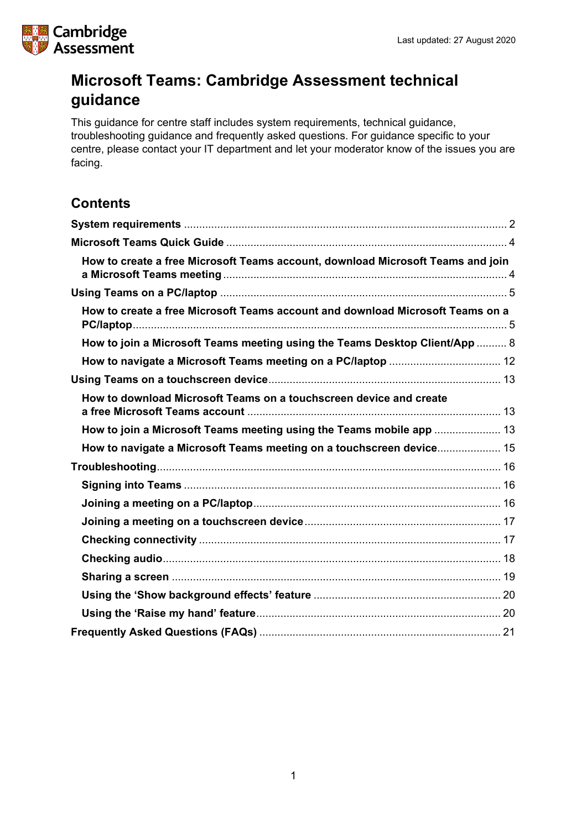

## **Microsoft Teams: Cambridge Assessment technical guidance**

This guidance for centre staff includes system requirements, technical guidance, troubleshooting guidance and frequently asked questions. For guidance specific to your centre, please contact your IT department and let your moderator know of the issues you are facing.

## **Contents**

| How to create a free Microsoft Teams account, download Microsoft Teams and join |  |
|---------------------------------------------------------------------------------|--|
|                                                                                 |  |
| How to create a free Microsoft Teams account and download Microsoft Teams on a  |  |
| How to join a Microsoft Teams meeting using the Teams Desktop Client/App  8     |  |
|                                                                                 |  |
|                                                                                 |  |
| How to download Microsoft Teams on a touchscreen device and create              |  |
| How to join a Microsoft Teams meeting using the Teams mobile app  13            |  |
| How to navigate a Microsoft Teams meeting on a touchscreen device 15            |  |
|                                                                                 |  |
|                                                                                 |  |
|                                                                                 |  |
|                                                                                 |  |
|                                                                                 |  |
|                                                                                 |  |
|                                                                                 |  |
|                                                                                 |  |
|                                                                                 |  |
|                                                                                 |  |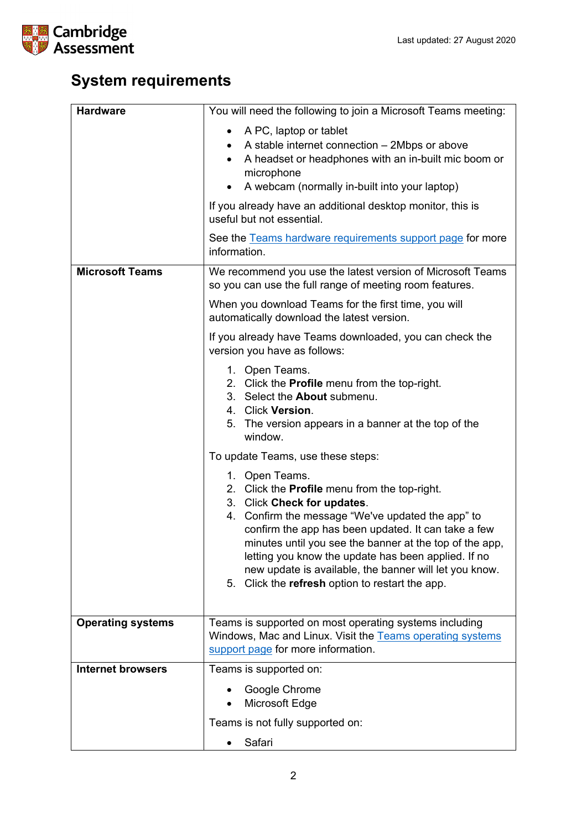

# <span id="page-1-0"></span>**System requirements**

| <b>Hardware</b>          | You will need the following to join a Microsoft Teams meeting:                                                                                                                                                                                                                                                                                                                                                                            |  |  |  |
|--------------------------|-------------------------------------------------------------------------------------------------------------------------------------------------------------------------------------------------------------------------------------------------------------------------------------------------------------------------------------------------------------------------------------------------------------------------------------------|--|--|--|
|                          | A PC, laptop or tablet<br>A stable internet connection - 2Mbps or above<br>A headset or headphones with an in-built mic boom or<br>microphone<br>A webcam (normally in-built into your laptop)<br>$\bullet$                                                                                                                                                                                                                               |  |  |  |
|                          | If you already have an additional desktop monitor, this is<br>useful but not essential.                                                                                                                                                                                                                                                                                                                                                   |  |  |  |
|                          | See the Teams hardware requirements support page for more<br>information.                                                                                                                                                                                                                                                                                                                                                                 |  |  |  |
| <b>Microsoft Teams</b>   | We recommend you use the latest version of Microsoft Teams<br>so you can use the full range of meeting room features.                                                                                                                                                                                                                                                                                                                     |  |  |  |
|                          | When you download Teams for the first time, you will<br>automatically download the latest version.                                                                                                                                                                                                                                                                                                                                        |  |  |  |
|                          | If you already have Teams downloaded, you can check the<br>version you have as follows:                                                                                                                                                                                                                                                                                                                                                   |  |  |  |
|                          | 1. Open Teams.<br>2. Click the Profile menu from the top-right.<br>3. Select the <b>About</b> submenu.<br>4. Click Version.<br>5. The version appears in a banner at the top of the<br>window.                                                                                                                                                                                                                                            |  |  |  |
|                          | To update Teams, use these steps:                                                                                                                                                                                                                                                                                                                                                                                                         |  |  |  |
|                          | 1. Open Teams.<br>2. Click the Profile menu from the top-right.<br>3. Click Check for updates.<br>4. Confirm the message "We've updated the app" to<br>confirm the app has been updated. It can take a few<br>minutes until you see the banner at the top of the app,<br>letting you know the update has been applied. If no<br>new update is available, the banner will let you know.<br>5. Click the refresh option to restart the app. |  |  |  |
| <b>Operating systems</b> | Teams is supported on most operating systems including<br>Windows, Mac and Linux. Visit the Teams operating systems<br>support page for more information.                                                                                                                                                                                                                                                                                 |  |  |  |
| <b>Internet browsers</b> | Teams is supported on:                                                                                                                                                                                                                                                                                                                                                                                                                    |  |  |  |
|                          | Google Chrome<br>Microsoft Edge                                                                                                                                                                                                                                                                                                                                                                                                           |  |  |  |
|                          | Teams is not fully supported on:                                                                                                                                                                                                                                                                                                                                                                                                          |  |  |  |
|                          | Safari                                                                                                                                                                                                                                                                                                                                                                                                                                    |  |  |  |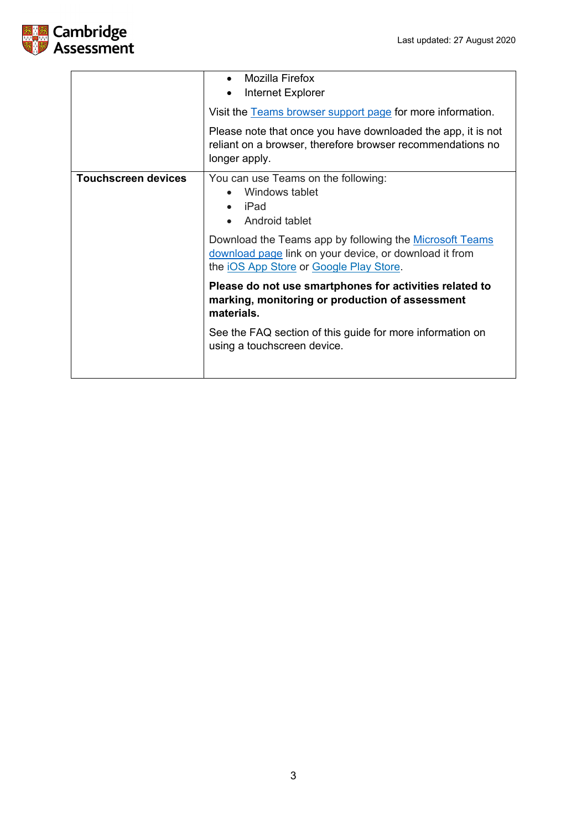

|                            | Mozilla Firefox<br>$\bullet$<br>Internet Explorer                                                                                                            |  |
|----------------------------|--------------------------------------------------------------------------------------------------------------------------------------------------------------|--|
|                            | Visit the Teams browser support page for more information.                                                                                                   |  |
|                            | Please note that once you have downloaded the app, it is not<br>reliant on a browser, therefore browser recommendations no<br>longer apply.                  |  |
| <b>Touchscreen devices</b> | You can use Teams on the following:<br>Windows tablet<br>iPad<br>Android tablet                                                                              |  |
|                            | Download the Teams app by following the Microsoft Teams<br>download page link on your device, or download it from<br>the iOS App Store or Google Play Store. |  |
|                            | Please do not use smartphones for activities related to<br>marking, monitoring or production of assessment<br>materials.                                     |  |
|                            | See the FAQ section of this guide for more information on<br>using a touchscreen device.                                                                     |  |
|                            |                                                                                                                                                              |  |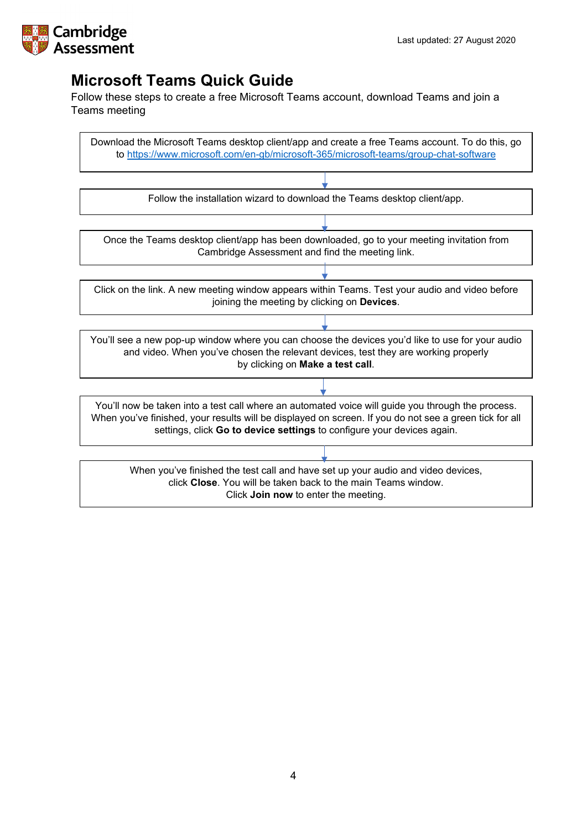

## <span id="page-3-0"></span>**Microsoft Teams Quick Guide**

<span id="page-3-1"></span>Follow these steps to create a free Microsoft Teams account, download Teams and join a Teams meeting

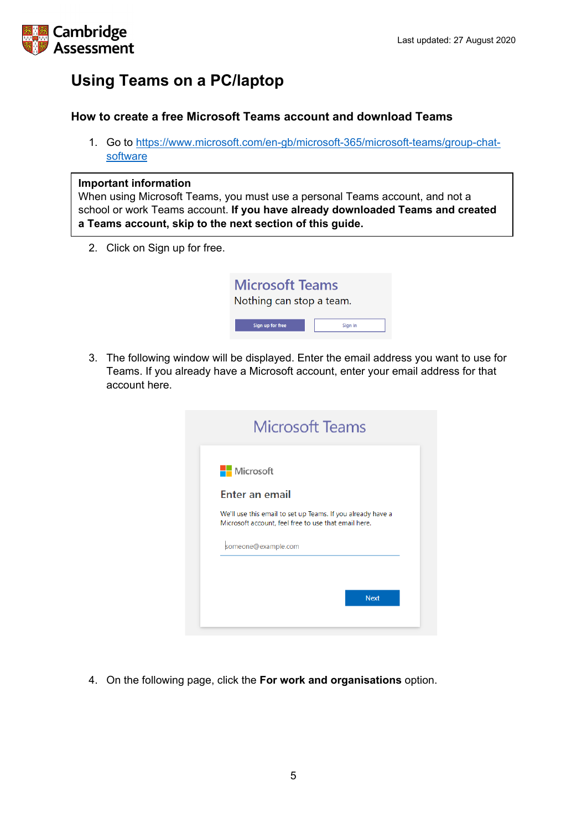

## <span id="page-4-0"></span>**Using Teams on a PC/laptop**

## <span id="page-4-1"></span>**How to create a free Microsoft Teams account and download Teams**

1. Go to [https://www.microsoft.com/en-gb/microsoft-365/microsoft-teams/group-chat](https://www.microsoft.com/en-gb/microsoft-365/microsoft-teams/group-chat-software)[software](https://www.microsoft.com/en-gb/microsoft-365/microsoft-teams/group-chat-software)

### **Important information**

When using Microsoft Teams, you must use a personal Teams account, and not a school or work Teams account. **If you have already downloaded Teams and created a Teams account, skip to the next section of this guide.**

2. Click on Sign up for free.

| <b>Microsoft Teams</b><br>Nothing can stop a team. |         |  |  |
|----------------------------------------------------|---------|--|--|
| Sign up for free                                   | Sign in |  |  |

3. The following window will be displayed. Enter the email address you want to use for Teams. If you already have a Microsoft account, enter your email address for that account here.

|                  | <b>Microsoft Teams</b>                                                                                              |             |
|------------------|---------------------------------------------------------------------------------------------------------------------|-------------|
| <b>Nicrosoft</b> |                                                                                                                     |             |
|                  | <b>Enter an email</b>                                                                                               |             |
|                  | We'll use this email to set up Teams. If you already have a<br>Microsoft account, feel free to use that email here. |             |
|                  | someone@example.com                                                                                                 |             |
|                  |                                                                                                                     |             |
|                  |                                                                                                                     | <b>Next</b> |
|                  |                                                                                                                     |             |

4. On the following page, click the **For work and organisations** option.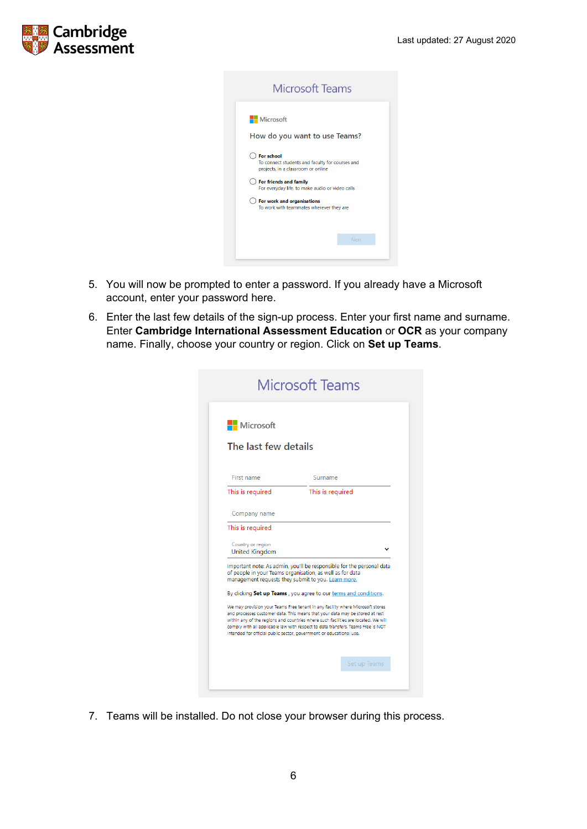

| <b>Microsoft Teams</b>                                                                                     |      |  |
|------------------------------------------------------------------------------------------------------------|------|--|
| <b>Nicrosoft</b><br>How do you want to use Teams?                                                          |      |  |
| <b>Eor</b> school<br>To connect students and faculty for courses and<br>projects, in a classroom or online |      |  |
| For friends and family<br>For everyday life, to make audio or video calls                                  |      |  |
| For work and organisations<br>To work with teammates wherever they are                                     |      |  |
|                                                                                                            |      |  |
|                                                                                                            | Next |  |
|                                                                                                            |      |  |

- 5. You will now be prompted to enter a password. If you already have a Microsoft account, enter your password here.
- 6. Enter the last few details of the sign-up process. Enter your first name and surname. Enter **Cambridge International Assessment Education** or **OCR** as your company name. Finally, choose your country or region. Click on **Set up Teams**.

| Microsoft                                  |                                                                                                                                                                                                                                                                                                                                          |
|--------------------------------------------|------------------------------------------------------------------------------------------------------------------------------------------------------------------------------------------------------------------------------------------------------------------------------------------------------------------------------------------|
| The last few details                       |                                                                                                                                                                                                                                                                                                                                          |
| First name                                 | Surname                                                                                                                                                                                                                                                                                                                                  |
| This is required                           | This is required                                                                                                                                                                                                                                                                                                                         |
| Company name                               |                                                                                                                                                                                                                                                                                                                                          |
| This is required                           |                                                                                                                                                                                                                                                                                                                                          |
| Country or region<br><b>United Kingdom</b> |                                                                                                                                                                                                                                                                                                                                          |
|                                            | Important note: As admin, you'll be responsible for the personal data<br>of people in your Teams organisation, as well as for data<br>management requests they submit to you. Learn more.                                                                                                                                                |
|                                            | By clicking Set up Teams, you agree to our terms and conditions.                                                                                                                                                                                                                                                                         |
|                                            | We may provision your Teams Free tenant in any facility where Microsoft stores<br>and processes customer data. This means that your data may be stored at rest<br>within any of the regions and countries where such facilities are located. We will<br>comply with all applicable law with respect to data transfers. Teams Free is NOT |

7. Teams will be installed. Do not close your browser during this process.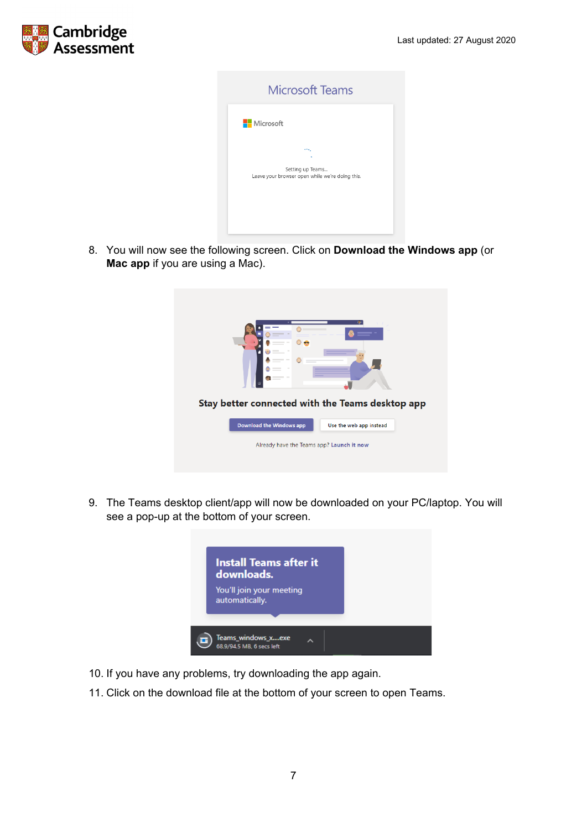

| <b>Microsoft Teams</b>                                              |
|---------------------------------------------------------------------|
| <b>Nicrosoft</b>                                                    |
| ere,                                                                |
| Setting up Teams<br>Leave your browser open while we're doing this. |
|                                                                     |
|                                                                     |

8. You will now see the following screen. Click on **Download the Windows app** (or **Mac app** if you are using a Mac).

|                                           | --<br>$\frac{1}{2}$      | AN.<br>Stay better connected with the Teams desktop app |  |
|-------------------------------------------|--------------------------|---------------------------------------------------------|--|
|                                           | Download the Windows app | Use the web app instead                                 |  |
| Already have the Teams app? Launch it now |                          |                                                         |  |

9. The Teams desktop client/app will now be downloaded on your PC/laptop. You will see a pop-up at the bottom of your screen.



- 10. If you have any problems, try downloading the app again.
- 11. Click on the download file at the bottom of your screen to open Teams.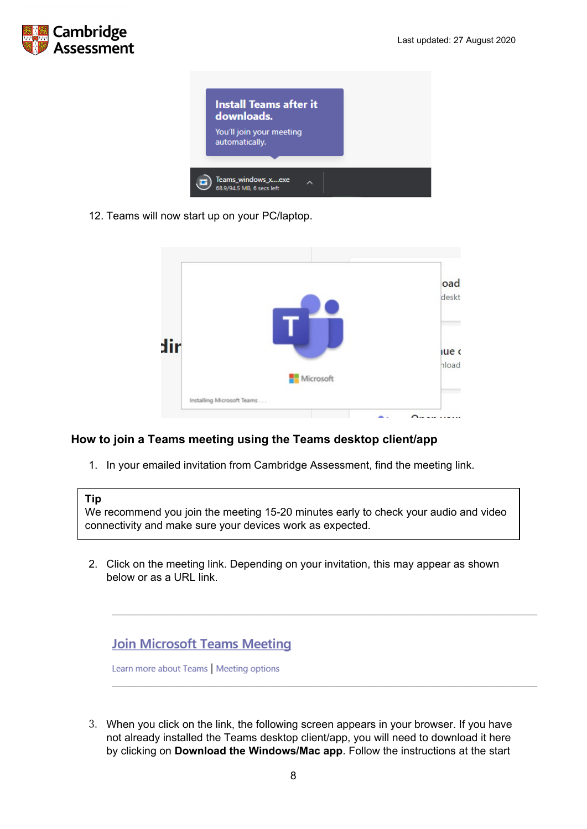



12. Teams will now start up on your PC/laptop.

|     |                            |         | oad<br>deskt   |
|-----|----------------------------|---------|----------------|
| dir | Microsoft                  |         | lue c<br>hload |
|     | Installing Microsoft Teams |         |                |
|     |                            | -<br>n. |                |

## <span id="page-7-0"></span>**How to join a Teams meeting using the Teams desktop client/app**

1. In your emailed invitation from Cambridge Assessment, find the meeting link.

## **Tip**

We recommend you join the meeting 15-20 minutes early to check your audio and video connectivity and make sure your devices work as expected.

2. Click on the meeting link. Depending on your invitation, this may appear as shown below or as a URL link.



Learn more about Teams | Meeting options

3. When you click on the link, the following screen appears in your browser. If you have not already installed the Teams desktop client/app, you will need to download it here by clicking on **Download the Windows/Mac app**. Follow the instructions at the start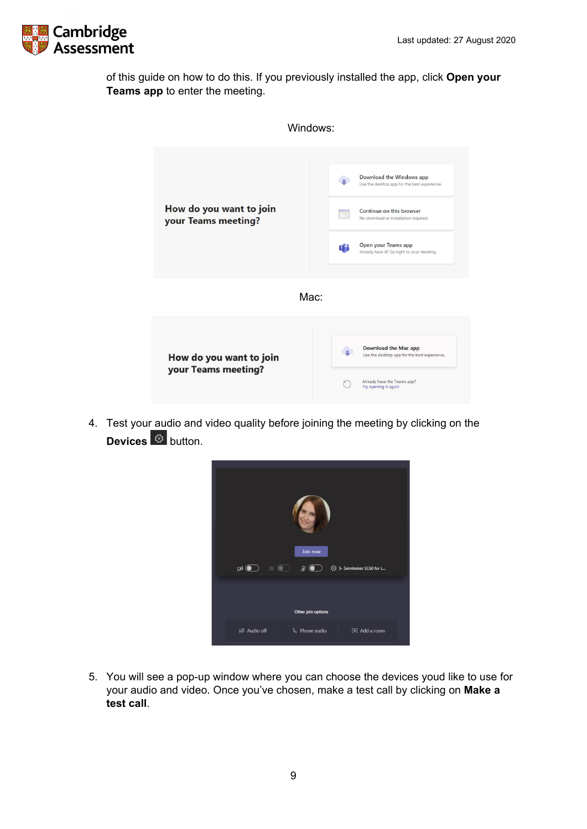

of this guide on how to do this. If you previously installed the app, click **Open your Teams app** to enter the meeting.



4. Test your audio and video quality before joining the meeting by clicking on the **Devices** <sup>**®**</sup> button.



5. You will see a pop-up window where you can choose the devices youd like to use for your audio and video. Once you've chosen, make a test call by clicking on **Make a test call**.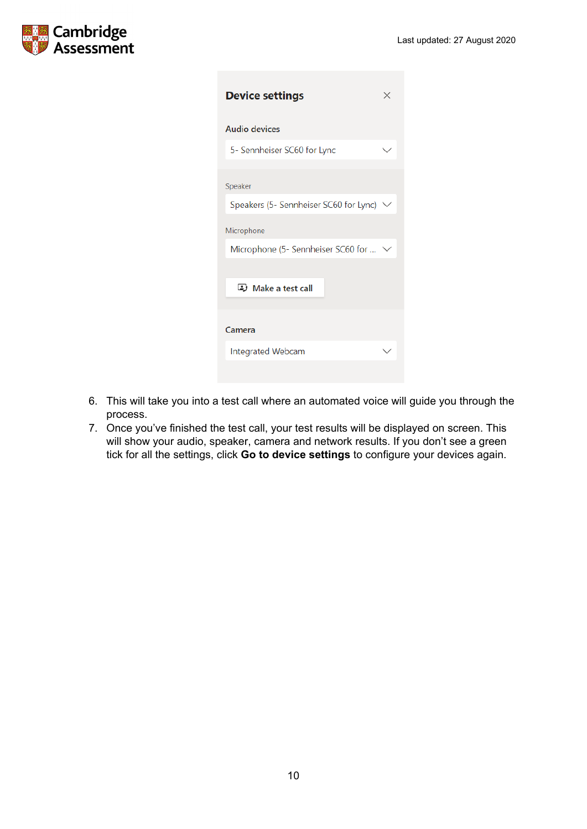

| <b>Device settings</b>                 |  |
|----------------------------------------|--|
| <b>Audio devices</b>                   |  |
| 5- Sennheiser SC60 for Lync            |  |
| Speaker                                |  |
| Speakers (5- Sennheiser SC60 for Lync) |  |
| Microphone                             |  |
| Microphone (5- Sennheiser SC60 for  \  |  |
| D Make a test call                     |  |
| Camera                                 |  |
| Integrated Webcam                      |  |
|                                        |  |

- 6. This will take you into a test call where an automated voice will guide you through the process.
- 7. Once you've finished the test call, your test results will be displayed on screen. This will show your audio, speaker, camera and network results. If you don't see a green tick for all the settings, click **Go to device settings** to configure your devices again.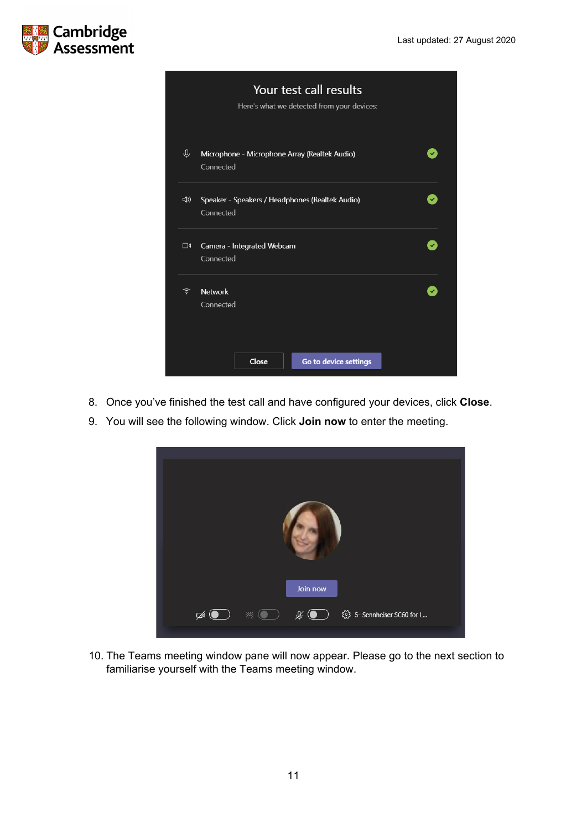



- 8. Once you've finished the test call and have configured your devices, click **Close**.
- 9. You will see the following window. Click **Join now** to enter the meeting.



10. The Teams meeting window pane will now appear. Please go to the next section to familiarise yourself with the Teams meeting window.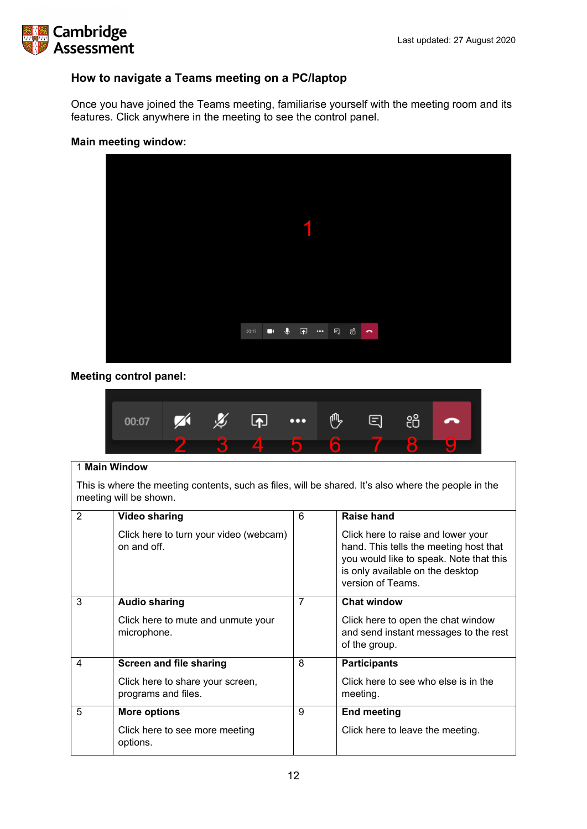

## <span id="page-11-0"></span>**How to navigate a Teams meeting on a PC/laptop**

Once you have joined the Teams meeting, familiarise yourself with the meeting room and its features. Click anywhere in the meeting to see the control panel.

### **Main meeting window:**



## **Meeting control panel:**



#### 1 **Main Window**

This is where the meeting contents, such as files, will be shared. It's also where the people in the meeting will be shown.

| $\overline{2}$ | <b>Video sharing</b>                                    | 6              | Raise hand                                                                                                                                                                       |
|----------------|---------------------------------------------------------|----------------|----------------------------------------------------------------------------------------------------------------------------------------------------------------------------------|
|                |                                                         |                |                                                                                                                                                                                  |
|                | Click here to turn your video (webcam)<br>on and off.   |                | Click here to raise and lower your<br>hand. This tells the meeting host that<br>you would like to speak. Note that this<br>is only available on the desktop<br>version of Teams. |
| 3              | <b>Audio sharing</b>                                    | $\overline{7}$ | <b>Chat window</b>                                                                                                                                                               |
|                | Click here to mute and unmute your<br>microphone.       |                | Click here to open the chat window<br>and send instant messages to the rest<br>of the group.                                                                                     |
| 4              | <b>Screen and file sharing</b>                          | 8              | <b>Participants</b>                                                                                                                                                              |
|                | Click here to share your screen,<br>programs and files. |                | Click here to see who else is in the<br>meeting.                                                                                                                                 |
| 5              | <b>More options</b>                                     | 9              | <b>End meeting</b>                                                                                                                                                               |
|                | Click here to see more meeting<br>options.              |                | Click here to leave the meeting.                                                                                                                                                 |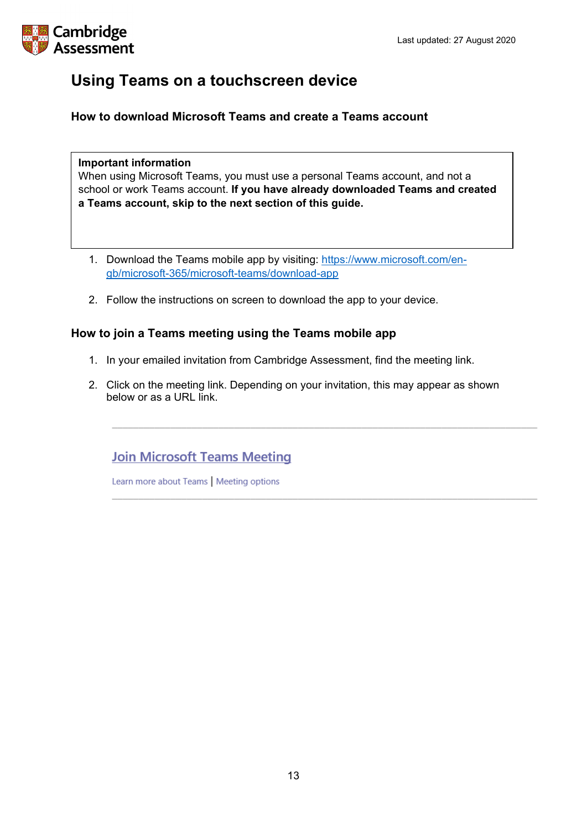

## <span id="page-12-0"></span>**Using Teams on a touchscreen device**

<span id="page-12-1"></span>**How to download Microsoft Teams and create a Teams account**

## **Important information**

When using Microsoft Teams, you must use a personal Teams account, and not a school or work Teams account. **If you have already downloaded Teams and created a Teams account, skip to the next section of this guide.**

- 1. Download the Teams mobile app by visiting: [https://www.microsoft.com/en](https://www.microsoft.com/en-gb/microsoft-365/microsoft-teams/download-app)[gb/microsoft-365/microsoft-teams/download-app](https://www.microsoft.com/en-gb/microsoft-365/microsoft-teams/download-app)
- 2. Follow the instructions on screen to download the app to your device.

## <span id="page-12-2"></span>**How to join a Teams meeting using the Teams mobile app**

- 1. In your emailed invitation from Cambridge Assessment, find the meeting link.
- 2. Click on the meeting link. Depending on your invitation, this may appear as shown below or as a URL link.

## **Join Microsoft Teams Meeting**

Learn more about Teams | Meeting options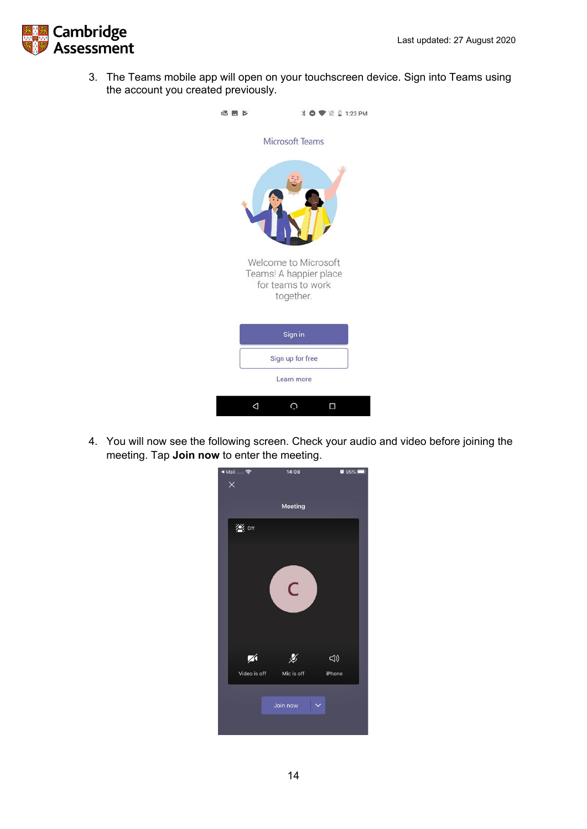

3. The Teams mobile app will open on your touchscreen device. Sign into Teams using the account you created previously.



4. You will now see the following screen. Check your audio and video before joining the meeting. Tap **Join now** to enter the meeting.

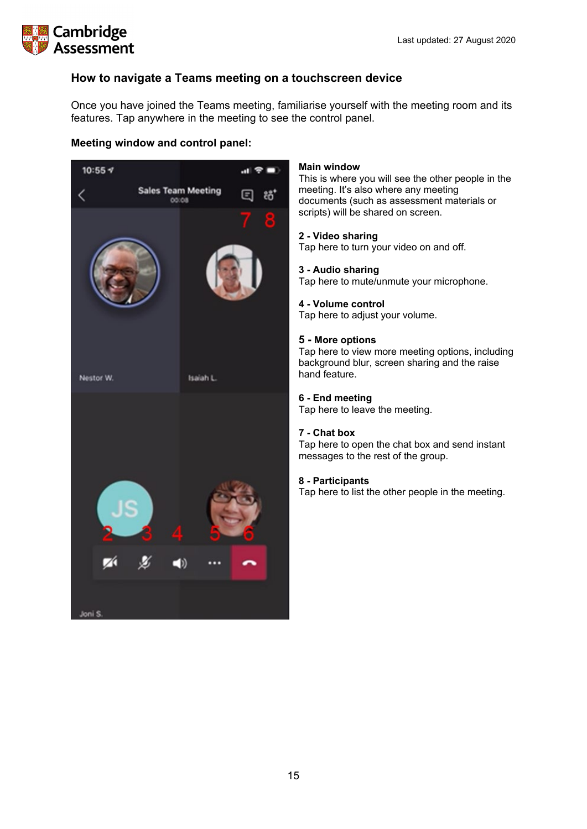

## <span id="page-14-0"></span>**How to navigate a Teams meeting on a touchscreen device**

Once you have joined the Teams meeting, familiarise yourself with the meeting room and its features. Tap anywhere in the meeting to see the control panel.

## **Meeting window and control panel:**



### **Main window**

This is where you will see the other people in the meeting. It's also where any meeting documents (such as assessment materials or scripts) will be shared on screen.

### **2 - Video sharing**

Tap here to turn your video on and off.

#### **3 - Audio sharing**

Tap here to mute/unmute your microphone.

### **4 - Volume control**

Tap here to adjust your volume.

### **5 - More options**

Tap here to view more meeting options, including background blur, screen sharing and the raise hand feature.

### **6 - End meeting**

Tap here to leave the meeting.

#### **7 - Chat box**

Tap here to open the chat box and send instant messages to the rest of the group.

## **8 - Participants**

Tap here to list the other people in the meeting.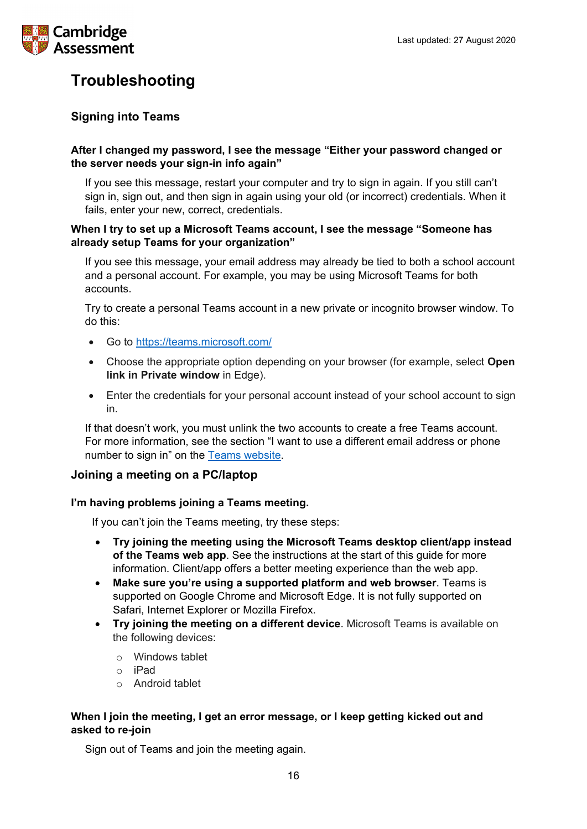

## <span id="page-15-0"></span>**Troubleshooting**

## <span id="page-15-1"></span>**Signing into Teams**

## **After I changed my password, I see the message "Either your password changed or the server needs your sign-in info again"**

If you see this message, restart your computer and try to sign in again. If you still can't sign in, sign out, and then sign in again using your old (or incorrect) credentials. When it fails, enter your new, correct, credentials.

## **When I try to set up a Microsoft Teams account, I see the message "Someone has already setup Teams for your organization"**

If you see this message, your email address may already be tied to both a school account and a personal account. For example, you may be using Microsoft Teams for both accounts.

Try to create a personal Teams account in a new private or incognito browser window. To do this:

- Go to <https://teams.microsoft.com/>
- Choose the appropriate option depending on your browser (for example, select **Open link in Private window** in Edge).
- Enter the credentials for your personal account instead of your school account to sign in.

If that doesn't work, you must unlink the two accounts to create a free Teams account. For more information, see the section "I want to use a different email address or phone number to sign in" on the [Teams website.](https://support.microsoft.com/en-us/help/12407/microsoft-account-change-email-phone-number)

## <span id="page-15-2"></span>**Joining a meeting on a PC/laptop**

## **I'm having problems joining a Teams meeting.**

If you can't join the Teams meeting, try these steps:

- **Try joining the meeting using the Microsoft Teams desktop client/app instead of the Teams web app**. See the instructions at the start of this guide for more information. Client/app offers a better meeting experience than the web app.
- **Make sure you're using a supported platform and web browser**. Teams is supported on Google Chrome and Microsoft Edge. It is not fully supported on Safari, Internet Explorer or Mozilla Firefox.
- **Try joining the meeting on a different device**. Microsoft Teams is available on the following devices:
	- o Windows tablet
	- o iPad
	- o Android tablet

## **When I join the meeting, I get an error message, or I keep getting kicked out and asked to re-join**

Sign out of Teams and join the meeting again.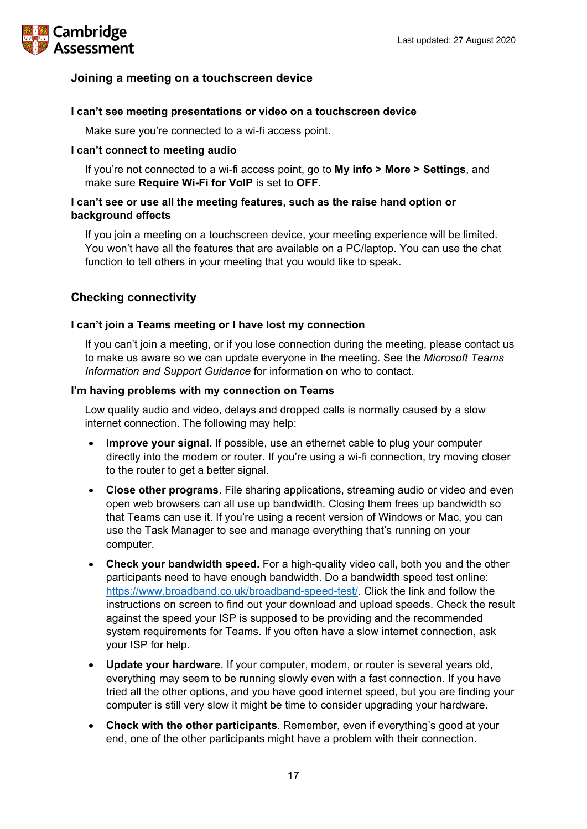

## <span id="page-16-0"></span>**Joining a meeting on a touchscreen device**

## **I can't see meeting presentations or video on a touchscreen device**

Make sure you're connected to a wi-fi access point.

### **I can't connect to meeting audio**

If you're not connected to a wi-fi access point, go to **My info > More > Settings**, and make sure **Require Wi-Fi for VoIP** is set to **OFF**.

## **I can't see or use all the meeting features, such as the raise hand option or background effects**

If you join a meeting on a touchscreen device, your meeting experience will be limited. You won't have all the features that are available on a PC/laptop. You can use the chat function to tell others in your meeting that you would like to speak.

## <span id="page-16-1"></span>**Checking connectivity**

### **I can't join a Teams meeting or I have lost my connection**

If you can't join a meeting, or if you lose connection during the meeting, please contact us to make us aware so we can update everyone in the meeting. See the *Microsoft Teams Information and Support Guidance* for information on who to contact.

### **I'm having problems with my connection on Teams**

Low quality audio and video, delays and dropped calls is normally caused by a slow internet connection. The following may help:

- **Improve your signal.** If possible, use an ethernet cable to plug your computer directly into the modem or router. If you're using a wi-fi connection, try moving closer to the router to get a better signal.
- **Close other programs**. File sharing applications, streaming audio or video and even open web browsers can all use up bandwidth. Closing them frees up bandwidth so that Teams can use it. If you're using a recent version of Windows or Mac, you can use the Task Manager to see and manage everything that's running on your computer.
- **Check your bandwidth speed.** For a high-quality video call, both you and the other participants need to have enough bandwidth. Do a bandwidth speed test online: [https://www.broadband.co.uk/broadband-speed-test/.](https://www.broadband.co.uk/broadband-speed-test/) Click the link and follow the instructions on screen to find out your download and upload speeds. Check the result against the speed your ISP is supposed to be providing and the recommended system requirements for Teams. If you often have a slow internet connection, ask your ISP for help.
- **Update your hardware**. If your computer, modem, or router is several years old, everything may seem to be running slowly even with a fast connection. If you have tried all the other options, and you have good internet speed, but you are finding your computer is still very slow it might be time to consider upgrading your hardware.
- **Check with the other participants**. Remember, even if everything's good at your end, one of the other participants might have a problem with their connection.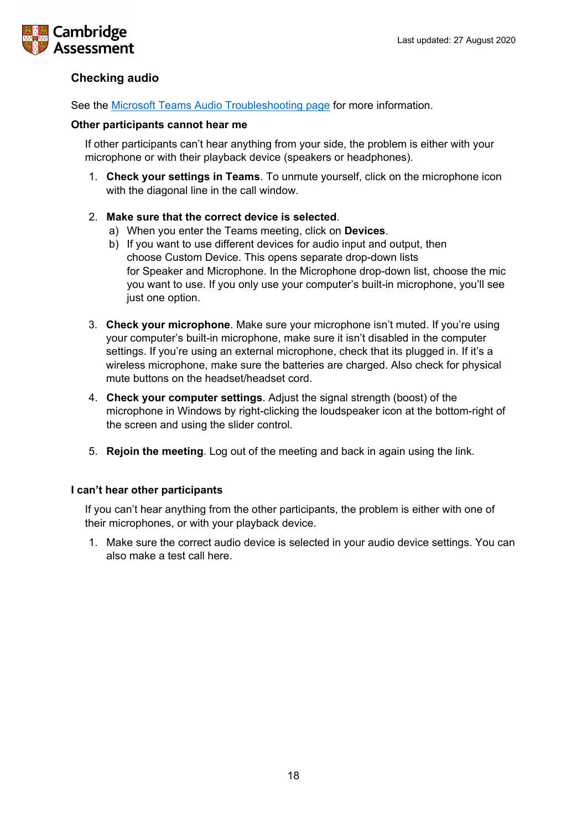

## <span id="page-17-0"></span>**Checking audio**

See the [Microsoft Teams Audio Troubleshooting page](https://docs.microsoft.com/en-us/MicrosoftTeams/troubleshoot/meetings/how-to-join-a-teams-meeting#troubleshoot-audio) for more information.

### **Other participants cannot hear me**

If other participants can't hear anything from your side, the problem is either with your microphone or with their playback device (speakers or headphones).

- 1. **Check your settings in Teams**. To unmute yourself, click on the microphone icon with the diagonal line in the call window.
- 2. **Make sure that the correct device is selected**.
	- a) When you enter the Teams meeting, click on **Devices**.
	- b) If you want to use different devices for audio input and output, then choose Custom Device. This opens separate drop-down lists for Speaker and Microphone. In the Microphone drop-down list, choose the mic you want to use. If you only use your computer's built-in microphone, you'll see just one option.
- 3. **Check your microphone**. Make sure your microphone isn't muted. If you're using your computer's built-in microphone, make sure it isn't disabled in the computer settings. If you're using an external microphone, check that its plugged in. If it's a wireless microphone, make sure the batteries are charged. Also check for physical mute buttons on the headset/headset cord.
- 4. **Check your computer settings**. Adjust the signal strength (boost) of the microphone in Windows by right-clicking the loudspeaker icon at the bottom-right of the screen and using the slider control.
- 5. **Rejoin the meeting**. Log out of the meeting and back in again using the link.

## **I can't hear other participants**

If you can't hear anything from the other participants, the problem is either with one of their microphones, or with your playback device.

1. Make sure the correct audio device is selected in your audio device settings. You can also make a test call here.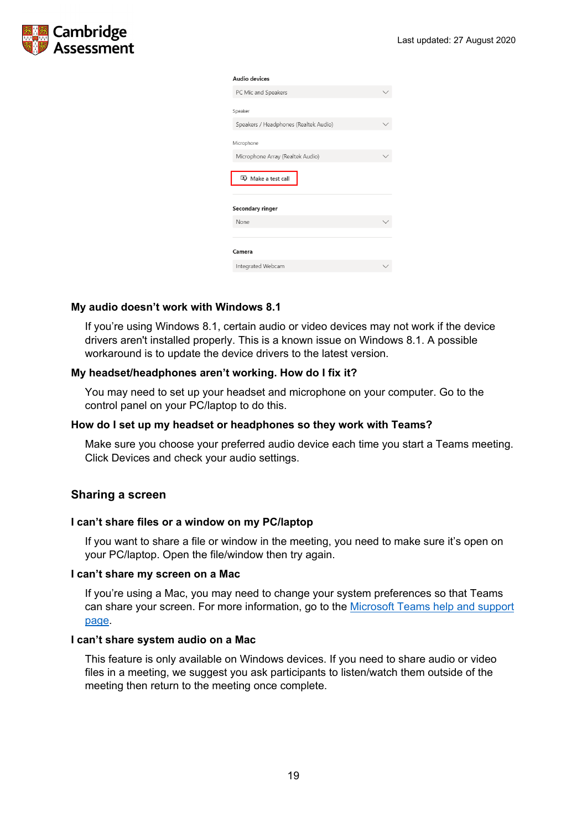

#### Audio devices

| PC Mic and Speakers                   |  |
|---------------------------------------|--|
| Speaker                               |  |
|                                       |  |
| Speakers / Headphones (Realtek Audio) |  |
| Microphone                            |  |
|                                       |  |
| Microphone Array (Realtek Audio)      |  |
| Make a test call                      |  |
|                                       |  |
| Secondary ringer                      |  |
| None                                  |  |
|                                       |  |
| Camera                                |  |
|                                       |  |
| Integrated Webcam                     |  |
|                                       |  |

### **My audio doesn't work with Windows 8.1**

If you're using Windows 8.1, certain audio or video devices may not work if the device drivers aren't installed properly. This is a known issue on Windows 8.1. A possible workaround is to update the device drivers to the latest version.

#### **My headset/headphones aren't working. How do I fix it?**

You may need to set up your headset and microphone on your computer. Go to the control panel on your PC/laptop to do this.

#### **How do I set up my headset or headphones so they work with Teams?**

Make sure you choose your preferred audio device each time you start a Teams meeting. Click Devices and check your audio settings.

## <span id="page-18-0"></span>**Sharing a screen**

#### **I can't share files or a window on my PC/laptop**

If you want to share a file or window in the meeting, you need to make sure it's open on your PC/laptop. Open the file/window then try again.

#### **I can't share my screen on a Mac**

If you're using a Mac, you may need to change your system preferences so that Teams can share your screen. For more information, go to the [Microsoft Teams help and support](https://support.microsoft.com/en-us/office/share-content-in-a-meeting-in-teams-fcc2bf59-aecd-4481-8f99-ce55dd836ce8#:%7E:text=Share%20content%20on%20a%20Mac&text=Select%20Open%20System%20Preferences%20from,try%20sharing%20your%20screen%20again.)  [page.](https://support.microsoft.com/en-us/office/share-content-in-a-meeting-in-teams-fcc2bf59-aecd-4481-8f99-ce55dd836ce8#:%7E:text=Share%20content%20on%20a%20Mac&text=Select%20Open%20System%20Preferences%20from,try%20sharing%20your%20screen%20again.)

#### **I can't share system audio on a Mac**

This feature is only available on Windows devices. If you need to share audio or video files in a meeting, we suggest you ask participants to listen/watch them outside of the meeting then return to the meeting once complete.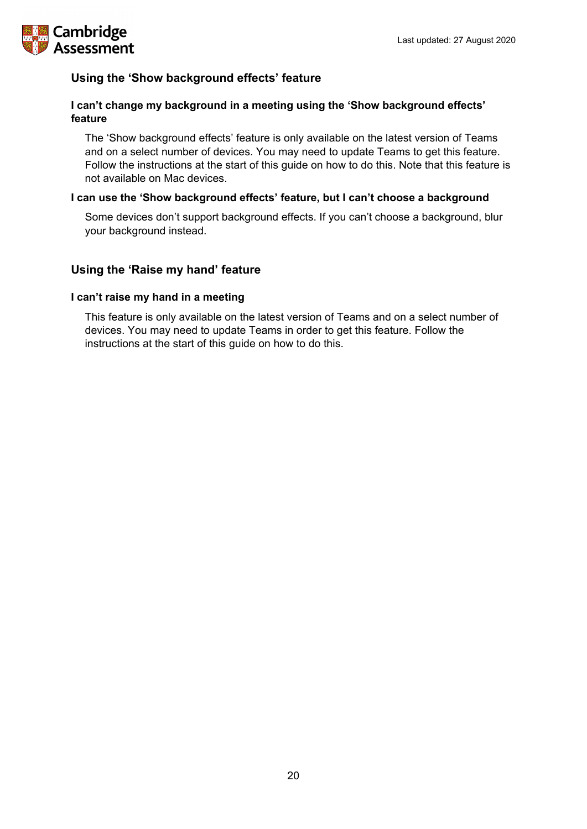

## <span id="page-19-0"></span>**Using the 'Show background effects' feature**

## **I can't change my background in a meeting using the 'Show background effects' feature**

The 'Show background effects' feature is only available on the latest version of Teams and on a select number of devices. You may need to update Teams to get this feature. Follow the instructions at the start of this guide on how to do this. Note that this feature is not available on Mac devices.

## **I can use the 'Show background effects' feature, but I can't choose a background**

Some devices don't support background effects. If you can't choose a background, blur your background instead.

## <span id="page-19-1"></span>**Using the 'Raise my hand' feature**

## **I can't raise my hand in a meeting**

This feature is only available on the latest version of Teams and on a select number of devices. You may need to update Teams in order to get this feature. Follow the instructions at the start of this guide on how to do this.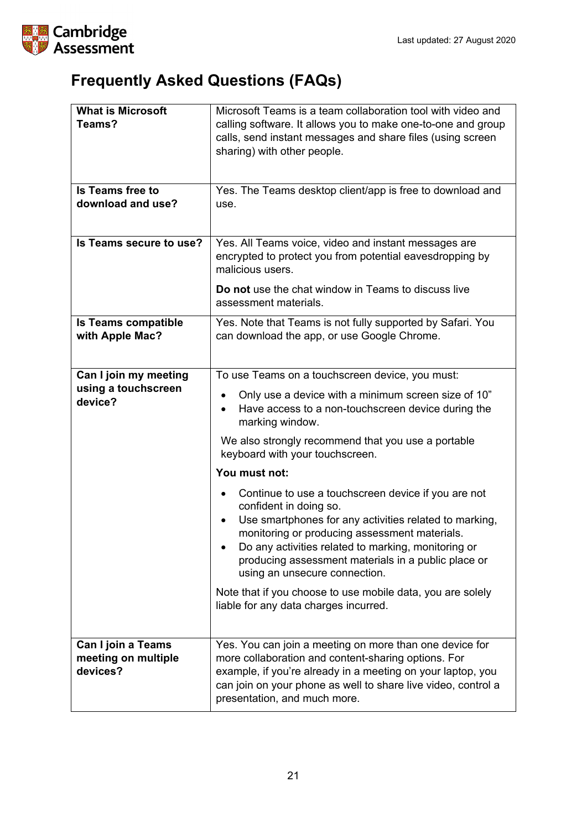

# <span id="page-20-0"></span>**Frequently Asked Questions (FAQs)**

| <b>What is Microsoft</b><br>Teams?<br><b>Is Teams free to</b><br>download and use?<br>Is Teams secure to use? | Microsoft Teams is a team collaboration tool with video and<br>calling software. It allows you to make one-to-one and group<br>calls, send instant messages and share files (using screen<br>sharing) with other people.<br>Yes. The Teams desktop client/app is free to download and<br>use.<br>Yes. All Teams voice, video and instant messages are                                                                                                                                                                                                                                                                                                                                                                                                                 |
|---------------------------------------------------------------------------------------------------------------|-----------------------------------------------------------------------------------------------------------------------------------------------------------------------------------------------------------------------------------------------------------------------------------------------------------------------------------------------------------------------------------------------------------------------------------------------------------------------------------------------------------------------------------------------------------------------------------------------------------------------------------------------------------------------------------------------------------------------------------------------------------------------|
|                                                                                                               | encrypted to protect you from potential eaves dropping by<br>malicious users.<br>Do not use the chat window in Teams to discuss live<br>assessment materials.                                                                                                                                                                                                                                                                                                                                                                                                                                                                                                                                                                                                         |
| <b>Is Teams compatible</b><br>with Apple Mac?                                                                 | Yes. Note that Teams is not fully supported by Safari. You<br>can download the app, or use Google Chrome.                                                                                                                                                                                                                                                                                                                                                                                                                                                                                                                                                                                                                                                             |
| Can I join my meeting<br>using a touchscreen<br>device?                                                       | To use Teams on a touchscreen device, you must:<br>Only use a device with a minimum screen size of 10"<br>$\bullet$<br>Have access to a non-touchscreen device during the<br>$\bullet$<br>marking window.<br>We also strongly recommend that you use a portable<br>keyboard with your touchscreen.<br>You must not:<br>Continue to use a touchscreen device if you are not<br>confident in doing so.<br>Use smartphones for any activities related to marking,<br>monitoring or producing assessment materials.<br>Do any activities related to marking, monitoring or<br>producing assessment materials in a public place or<br>using an unsecure connection.<br>Note that if you choose to use mobile data, you are solely<br>liable for any data charges incurred. |
| Can I join a Teams<br>meeting on multiple<br>devices?                                                         | Yes. You can join a meeting on more than one device for<br>more collaboration and content-sharing options. For<br>example, if you're already in a meeting on your laptop, you<br>can join on your phone as well to share live video, control a<br>presentation, and much more.                                                                                                                                                                                                                                                                                                                                                                                                                                                                                        |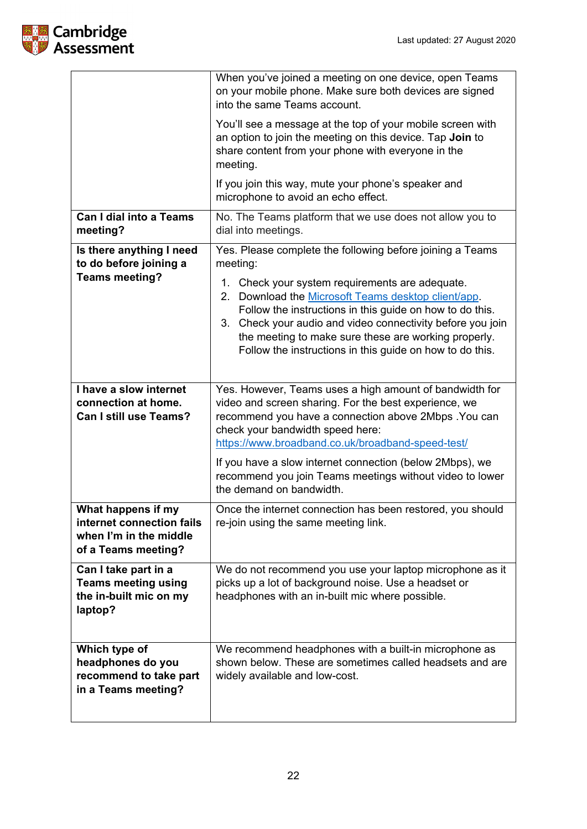

|                                                                                                  | When you've joined a meeting on one device, open Teams<br>on your mobile phone. Make sure both devices are signed<br>into the same Teams account.                                                                                                                                                                                                             |
|--------------------------------------------------------------------------------------------------|---------------------------------------------------------------------------------------------------------------------------------------------------------------------------------------------------------------------------------------------------------------------------------------------------------------------------------------------------------------|
|                                                                                                  | You'll see a message at the top of your mobile screen with<br>an option to join the meeting on this device. Tap Join to<br>share content from your phone with everyone in the<br>meeting.                                                                                                                                                                     |
|                                                                                                  | If you join this way, mute your phone's speaker and<br>microphone to avoid an echo effect.                                                                                                                                                                                                                                                                    |
| <b>Can I dial into a Teams</b><br>meeting?                                                       | No. The Teams platform that we use does not allow you to<br>dial into meetings.                                                                                                                                                                                                                                                                               |
| Is there anything I need<br>to do before joining a                                               | Yes. Please complete the following before joining a Teams<br>meeting:                                                                                                                                                                                                                                                                                         |
| <b>Teams meeting?</b>                                                                            | Check your system requirements are adequate.<br>1.<br>Download the Microsoft Teams desktop client/app.<br>2.<br>Follow the instructions in this guide on how to do this.<br>Check your audio and video connectivity before you join<br>3.<br>the meeting to make sure these are working properly.<br>Follow the instructions in this guide on how to do this. |
| <b>Thave a slow internet</b><br>connection at home.<br><b>Can I still use Teams?</b>             | Yes. However, Teams uses a high amount of bandwidth for<br>video and screen sharing. For the best experience, we<br>recommend you have a connection above 2Mbps . You can<br>check your bandwidth speed here:<br>https://www.broadband.co.uk/broadband-speed-test/                                                                                            |
|                                                                                                  | If you have a slow internet connection (below 2Mbps), we<br>recommend you join Teams meetings without video to lower<br>the demand on bandwidth.                                                                                                                                                                                                              |
| What happens if my<br>internet connection fails<br>when I'm in the middle<br>of a Teams meeting? | Once the internet connection has been restored, you should<br>re-join using the same meeting link.                                                                                                                                                                                                                                                            |
| Can I take part in a<br><b>Teams meeting using</b><br>the in-built mic on my<br>laptop?          | We do not recommend you use your laptop microphone as it<br>picks up a lot of background noise. Use a headset or<br>headphones with an in-built mic where possible.                                                                                                                                                                                           |
| Which type of<br>headphones do you<br>recommend to take part<br>in a Teams meeting?              | We recommend headphones with a built-in microphone as<br>shown below. These are sometimes called headsets and are<br>widely available and low-cost.                                                                                                                                                                                                           |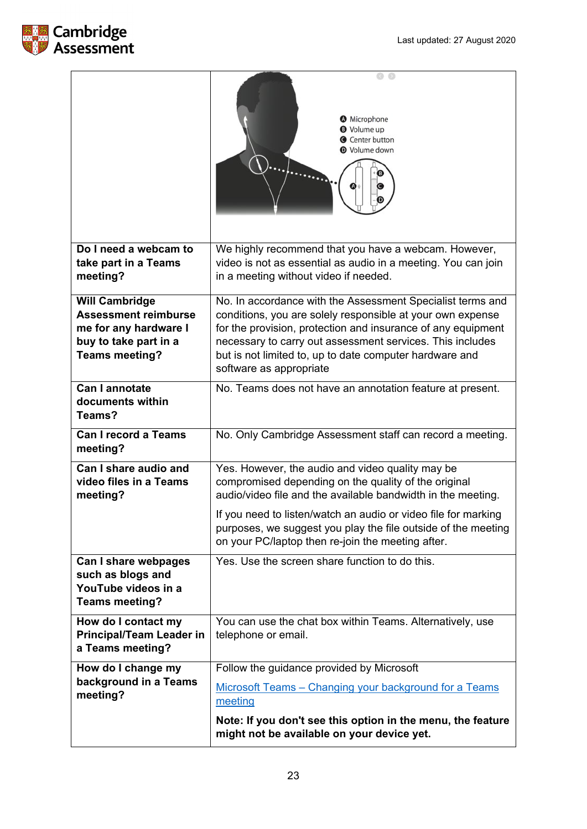

|                                                                                                                                 | <b>O</b> Microphone<br><b>O</b> Volume up<br><b>C</b> Center button<br><b>Wolume down</b>                                                                                                                                                                                                                                                                        |
|---------------------------------------------------------------------------------------------------------------------------------|------------------------------------------------------------------------------------------------------------------------------------------------------------------------------------------------------------------------------------------------------------------------------------------------------------------------------------------------------------------|
| Do I need a webcam to<br>take part in a Teams<br>meeting?                                                                       | We highly recommend that you have a webcam. However,<br>video is not as essential as audio in a meeting. You can join<br>in a meeting without video if needed.                                                                                                                                                                                                   |
| <b>Will Cambridge</b><br><b>Assessment reimburse</b><br>me for any hardware I<br>buy to take part in a<br><b>Teams meeting?</b> | No. In accordance with the Assessment Specialist terms and<br>conditions, you are solely responsible at your own expense<br>for the provision, protection and insurance of any equipment<br>necessary to carry out assessment services. This includes<br>but is not limited to, up to date computer hardware and<br>software as appropriate                      |
| <b>Can I annotate</b><br>documents within<br>Teams?                                                                             | No. Teams does not have an annotation feature at present.                                                                                                                                                                                                                                                                                                        |
| <b>Can I record a Teams</b><br>meeting?                                                                                         | No. Only Cambridge Assessment staff can record a meeting.                                                                                                                                                                                                                                                                                                        |
| Can I share audio and<br>video files in a Teams<br>meeting?                                                                     | Yes. However, the audio and video quality may be<br>compromised depending on the quality of the original<br>audio/video file and the available bandwidth in the meeting.<br>If you need to listen/watch an audio or video file for marking<br>purposes, we suggest you play the file outside of the meeting<br>on your PC/laptop then re-join the meeting after. |
| Can I share webpages<br>such as blogs and<br>YouTube videos in a<br><b>Teams meeting?</b>                                       | Yes. Use the screen share function to do this.                                                                                                                                                                                                                                                                                                                   |
| How do I contact my<br><b>Principal/Team Leader in</b><br>a Teams meeting?                                                      | You can use the chat box within Teams. Alternatively, use<br>telephone or email.                                                                                                                                                                                                                                                                                 |
| How do I change my<br>background in a Teams<br>meeting?                                                                         | Follow the guidance provided by Microsoft<br>Microsoft Teams - Changing your background for a Teams<br>meeting<br>Note: If you don't see this option in the menu, the feature<br>might not be available on your device yet.                                                                                                                                      |